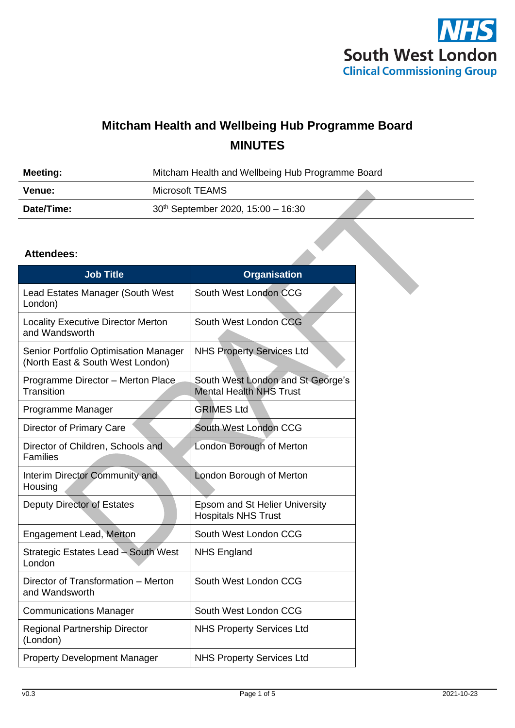

## **Mitcham Health and Wellbeing Hub Programme Board MINUTES**

| <b>Meeting:</b> | Mitcham Health and Wellbeing Hub Programme Board |  |
|-----------------|--------------------------------------------------|--|
| <b>Venue:</b>   | Microsoft TEAMS                                  |  |
| Date/Time:      | 30th September 2020, 15:00 - 16:30               |  |

#### **Attendees:**

| <b>Job Title</b>                                                          | <b>Organisation</b>                                                 |
|---------------------------------------------------------------------------|---------------------------------------------------------------------|
| Lead Estates Manager (South West<br>London)                               | South West London CCG                                               |
| <b>Locality Executive Director Merton</b><br>and Wandsworth               | South West London CCG                                               |
| Senior Portfolio Optimisation Manager<br>(North East & South West London) | <b>NHS Property Services Ltd</b>                                    |
| Programme Director - Merton Place<br>Transition                           | South West London and St George's<br><b>Mental Health NHS Trust</b> |
| Programme Manager                                                         | <b>GRIMES Ltd</b>                                                   |
| Director of Primary Care                                                  | South West London CCG                                               |
| Director of Children, Schools and<br><b>Families</b>                      | London Borough of Merton                                            |
| Interim Director Community and<br>Housing                                 | London Borough of Merton                                            |
| <b>Deputy Director of Estates</b>                                         | Epsom and St Helier University<br><b>Hospitals NHS Trust</b>        |
| Engagement Lead, Merton                                                   | South West London CCG                                               |
| Strategic Estates Lead - South West<br>London                             | <b>NHS England</b>                                                  |
| Director of Transformation - Merton<br>and Wandsworth                     | South West London CCG                                               |
| <b>Communications Manager</b>                                             | South West London CCG                                               |
| <b>Regional Partnership Director</b><br>(London)                          | <b>NHS Property Services Ltd</b>                                    |
| <b>Property Development Manager</b>                                       | <b>NHS Property Services Ltd</b>                                    |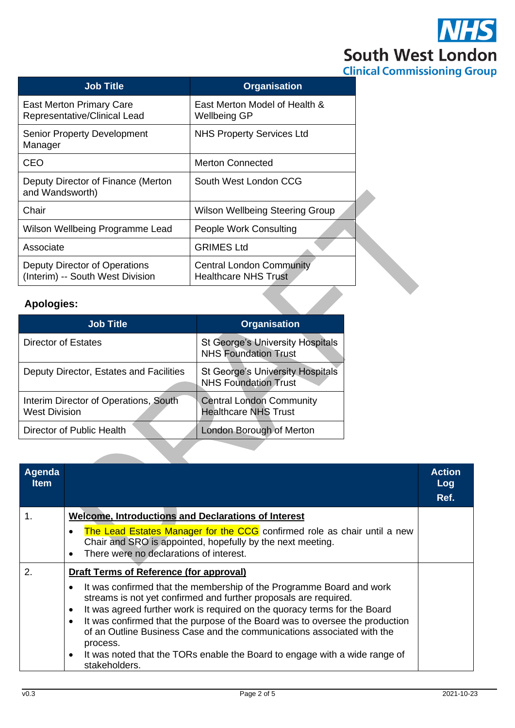

| <b>Job Title</b>                                                  | <b>Organisation</b>                                            |
|-------------------------------------------------------------------|----------------------------------------------------------------|
| <b>East Merton Primary Care</b><br>Representative/Clinical Lead   | East Merton Model of Health &<br>Wellbeing GP                  |
| <b>Senior Property Development</b><br>Manager                     | <b>NHS Property Services Ltd</b>                               |
| <b>CEO</b>                                                        | <b>Merton Connected</b>                                        |
| Deputy Director of Finance (Merton<br>and Wandsworth)             | South West London CCG                                          |
| Chair                                                             | Wilson Wellbeing Steering Group                                |
| Wilson Wellbeing Programme Lead                                   | <b>People Work Consulting</b>                                  |
| Associate                                                         | <b>GRIMES Ltd</b>                                              |
| Deputy Director of Operations<br>(Interim) -- South West Division | <b>Central London Community</b><br><b>Healthcare NHS Trust</b> |
| Anologiae:                                                        |                                                                |

### **Apologies:**

| <b>Job Title</b>                                              | <b>Organisation</b>                                                    |
|---------------------------------------------------------------|------------------------------------------------------------------------|
| Director of Estates                                           | <b>St George's University Hospitals</b><br><b>NHS Foundation Trust</b> |
| Deputy Director, Estates and Facilities                       | <b>St George's University Hospitals</b><br><b>NHS Foundation Trust</b> |
| Interim Director of Operations, South<br><b>West Division</b> | <b>Central London Community</b><br><b>Healthcare NHS Trust</b>         |
| Director of Public Health                                     | London Borough of Merton                                               |

| Agenda<br><b>Item</b> |                                                                                                                                                                                                                                                                                                                                                                                                                                                                                                                                   | <b>Action</b><br>Log<br>Ref. |
|-----------------------|-----------------------------------------------------------------------------------------------------------------------------------------------------------------------------------------------------------------------------------------------------------------------------------------------------------------------------------------------------------------------------------------------------------------------------------------------------------------------------------------------------------------------------------|------------------------------|
| 1.                    | <b>Welcome, Introductions and Declarations of Interest</b>                                                                                                                                                                                                                                                                                                                                                                                                                                                                        |                              |
|                       | The Lead Estates Manager for the CCG confirmed role as chair until a new<br>Chair and SRO is appointed, hopefully by the next meeting.<br>There were no declarations of interest.<br>$\bullet$                                                                                                                                                                                                                                                                                                                                    |                              |
| 2.                    | Draft Terms of Reference (for approval)                                                                                                                                                                                                                                                                                                                                                                                                                                                                                           |                              |
|                       | It was confirmed that the membership of the Programme Board and work<br>streams is not yet confirmed and further proposals are required.<br>It was agreed further work is required on the quoracy terms for the Board<br>$\bullet$<br>It was confirmed that the purpose of the Board was to oversee the production<br>$\bullet$<br>of an Outline Business Case and the communications associated with the<br>process.<br>It was noted that the TORs enable the Board to engage with a wide range of<br>$\bullet$<br>stakeholders. |                              |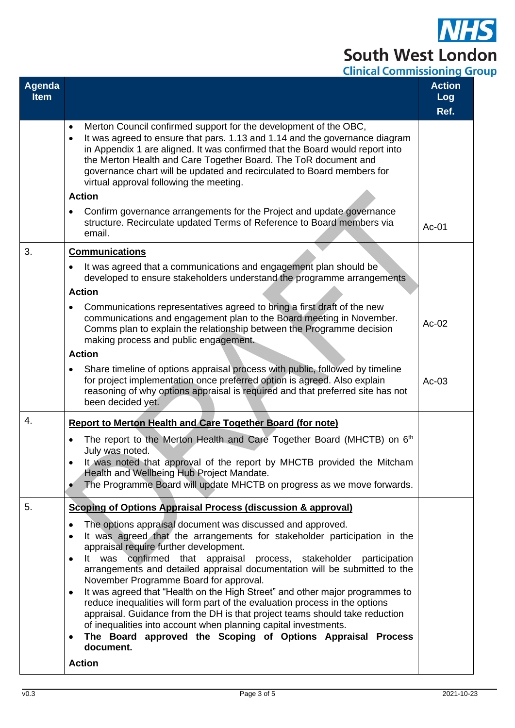# $\overline{\mathbf{S}}$ **South West London**<br>Clinical Commissioning Group

| Agenda<br><b>Item</b> |                                                                                                                                                                                                                                                                                                                                                                                                                                                   | <b>Action</b><br>Log<br>Ref. |
|-----------------------|---------------------------------------------------------------------------------------------------------------------------------------------------------------------------------------------------------------------------------------------------------------------------------------------------------------------------------------------------------------------------------------------------------------------------------------------------|------------------------------|
|                       | Merton Council confirmed support for the development of the OBC,<br>$\bullet$<br>It was agreed to ensure that pars. 1.13 and 1.14 and the governance diagram<br>$\bullet$<br>in Appendix 1 are aligned. It was confirmed that the Board would report into<br>the Merton Health and Care Together Board. The ToR document and<br>governance chart will be updated and recirculated to Board members for<br>virtual approval following the meeting. |                              |
|                       | <b>Action</b>                                                                                                                                                                                                                                                                                                                                                                                                                                     |                              |
|                       | Confirm governance arrangements for the Project and update governance<br>structure. Recirculate updated Terms of Reference to Board members via<br>email.                                                                                                                                                                                                                                                                                         | $Ac-01$                      |
| 3.                    | <b>Communications</b>                                                                                                                                                                                                                                                                                                                                                                                                                             |                              |
|                       | It was agreed that a communications and engagement plan should be<br>developed to ensure stakeholders understand the programme arrangements                                                                                                                                                                                                                                                                                                       |                              |
|                       | <b>Action</b>                                                                                                                                                                                                                                                                                                                                                                                                                                     |                              |
|                       | Communications representatives agreed to bring a first draft of the new<br>communications and engagement plan to the Board meeting in November.<br>Comms plan to explain the relationship between the Programme decision<br>making process and public engagement.                                                                                                                                                                                 | $Ac-02$                      |
|                       | <b>Action</b>                                                                                                                                                                                                                                                                                                                                                                                                                                     |                              |
|                       | Share timeline of options appraisal process with public, followed by timeline<br>for project implementation once preferred option is agreed. Also explain<br>reasoning of why options appraisal is required and that preferred site has not<br>been decided yet.                                                                                                                                                                                  | $Ac-03$                      |
| 4.                    | <b>Report to Merton Health and Care Together Board (for note)</b>                                                                                                                                                                                                                                                                                                                                                                                 |                              |
|                       | The report to the Merton Health and Care Together Board (MHCTB) on 6th<br>July was noted.<br>It was noted that approval of the report by MHCTB provided the Mitcham<br>Health and Wellbeing Hub Project Mandate.<br>The Programme Board will update MHCTB on progress as we move forwards.<br>$\bullet$                                                                                                                                           |                              |
| 5.                    | <b>Scoping of Options Appraisal Process (discussion &amp; approval)</b>                                                                                                                                                                                                                                                                                                                                                                           |                              |
|                       | The options appraisal document was discussed and approved.<br>٠<br>It was agreed that the arrangements for stakeholder participation in the<br>$\bullet$                                                                                                                                                                                                                                                                                          |                              |
|                       | appraisal require further development.                                                                                                                                                                                                                                                                                                                                                                                                            |                              |
|                       | confirmed that appraisal process, stakeholder<br>was<br>lt –<br>participation<br>$\bullet$<br>arrangements and detailed appraisal documentation will be submitted to the                                                                                                                                                                                                                                                                          |                              |
|                       | November Programme Board for approval.                                                                                                                                                                                                                                                                                                                                                                                                            |                              |
|                       | It was agreed that "Health on the High Street" and other major programmes to<br>٠<br>reduce inequalities will form part of the evaluation process in the options<br>appraisal. Guidance from the DH is that project teams should take reduction<br>of inequalities into account when planning capital investments.                                                                                                                                |                              |
|                       | The Board approved the Scoping of Options Appraisal Process<br>$\bullet$<br>document.                                                                                                                                                                                                                                                                                                                                                             |                              |
|                       | <b>Action</b>                                                                                                                                                                                                                                                                                                                                                                                                                                     |                              |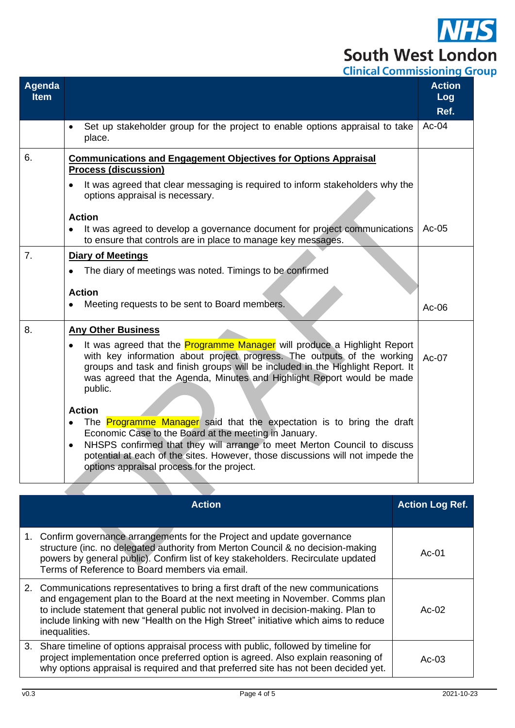## $\overline{\textbf{S}}$ **South West London Clinical Commissioning Group**

| Agenda<br><b>Item</b> |                                                                                                                                                                                                                                                                                                                                                | <b>Action</b><br>Log<br>Ref. |
|-----------------------|------------------------------------------------------------------------------------------------------------------------------------------------------------------------------------------------------------------------------------------------------------------------------------------------------------------------------------------------|------------------------------|
|                       | Set up stakeholder group for the project to enable options appraisal to take<br>place.                                                                                                                                                                                                                                                         | $Ac-04$                      |
| 6.                    | <b>Communications and Engagement Objectives for Options Appraisal</b><br><b>Process (discussion)</b>                                                                                                                                                                                                                                           |                              |
|                       | It was agreed that clear messaging is required to inform stakeholders why the<br>options appraisal is necessary.                                                                                                                                                                                                                               |                              |
|                       | <b>Action</b><br>It was agreed to develop a governance document for project communications<br>to ensure that controls are in place to manage key messages.                                                                                                                                                                                     | Ac-05                        |
| 7.                    | <b>Diary of Meetings</b>                                                                                                                                                                                                                                                                                                                       |                              |
|                       | The diary of meetings was noted. Timings to be confirmed                                                                                                                                                                                                                                                                                       |                              |
|                       | <b>Action</b>                                                                                                                                                                                                                                                                                                                                  |                              |
|                       | Meeting requests to be sent to Board members.                                                                                                                                                                                                                                                                                                  | $Ac-06$                      |
| 8.                    | <b>Any Other Business</b>                                                                                                                                                                                                                                                                                                                      |                              |
|                       | It was agreed that the <b>Programme Manager</b> will produce a Highlight Report<br>$\bullet$<br>with key information about project progress. The outputs of the working<br>groups and task and finish groups will be included in the Highlight Report. It<br>was agreed that the Agenda, Minutes and Highlight Report would be made<br>public. | $Ac-07$                      |
|                       | <b>Action</b>                                                                                                                                                                                                                                                                                                                                  |                              |
|                       | The Programme Manager said that the expectation is to bring the draft<br>Economic Case to the Board at the meeting in January.<br>NHSPS confirmed that they will arrange to meet Merton Council to discuss<br>٠                                                                                                                                |                              |
|                       | potential at each of the sites. However, those discussions will not impede the<br>options appraisal process for the project.                                                                                                                                                                                                                   |                              |

| <b>Action</b>                                                                                                                                                                                                                                                                                                                                                    | <b>Action Log Ref.</b> |
|------------------------------------------------------------------------------------------------------------------------------------------------------------------------------------------------------------------------------------------------------------------------------------------------------------------------------------------------------------------|------------------------|
| 1. Confirm governance arrangements for the Project and update governance<br>structure (inc. no delegated authority from Merton Council & no decision-making<br>powers by general public). Confirm list of key stakeholders. Recirculate updated<br>Terms of Reference to Board members via email.                                                                | Ac- $01$               |
| 2. Communications representatives to bring a first draft of the new communications<br>and engagement plan to the Board at the next meeting in November. Comms plan<br>to include statement that general public not involved in decision-making. Plan to<br>include linking with new "Health on the High Street" initiative which aims to reduce<br>inequalities. | Ac-02                  |
| 3. Share timeline of options appraisal process with public, followed by timeline for<br>project implementation once preferred option is agreed. Also explain reasoning of<br>why options appraisal is required and that preferred site has not been decided yet.                                                                                                 | Ac-03                  |